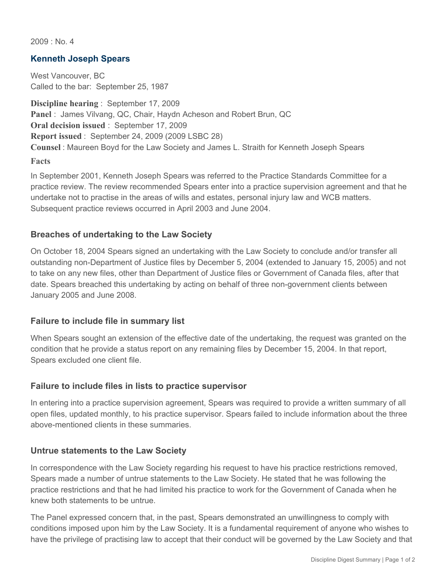$2009 \cdot N_0$  4

## **Kenneth Joseph Spears**

West Vancouver, BC Called to the bar: September 25, 1987

**Discipline hearing** : September 17, 2009 **Panel** : James Vilvang, QC, Chair, Haydn Acheson and Robert Brun, QC **Oral decision issued** : September 17, 2009 **Report issued** : September 24, 2009 (2009 LSBC 28) **Counsel** : Maureen Boyd for the Law Society and James L. Straith for Kenneth Joseph Spears

**Facts**

In September 2001, Kenneth Joseph Spears was referred to the Practice Standards Committee for a practice review. The review recommended Spears enter into a practice supervision agreement and that he undertake not to practise in the areas of wills and estates, personal injury law and WCB matters. Subsequent practice reviews occurred in April 2003 and June 2004.

### **Breaches of undertaking to the Law Society**

On October 18, 2004 Spears signed an undertaking with the Law Society to conclude and/or transfer all outstanding non-Department of Justice files by December 5, 2004 (extended to January 15, 2005) and not to take on any new files, other than Department of Justice files or Government of Canada files, after that date. Spears breached this undertaking by acting on behalf of three non-government clients between January 2005 and June 2008.

### **Failure to include file in summary list**

When Spears sought an extension of the effective date of the undertaking, the request was granted on the condition that he provide a status report on any remaining files by December 15, 2004. In that report, Spears excluded one client file.

# **Failure to include files in lists to practice supervisor**

In entering into a practice supervision agreement, Spears was required to provide a written summary of all open files, updated monthly, to his practice supervisor. Spears failed to include information about the three above-mentioned clients in these summaries.

### **Untrue statements to the Law Society**

In correspondence with the Law Society regarding his request to have his practice restrictions removed, Spears made a number of untrue statements to the Law Society. He stated that he was following the practice restrictions and that he had limited his practice to work for the Government of Canada when he knew both statements to be untrue.

The Panel expressed concern that, in the past, Spears demonstrated an unwillingness to comply with conditions imposed upon him by the Law Society. It is a fundamental requirement of anyone who wishes to have the privilege of practising law to accept that their conduct will be governed by the Law Society and that